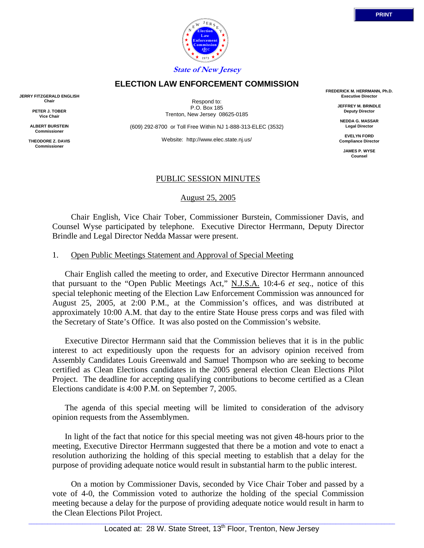

# **ELECTION LAW ENFORCEMENT COMMISSION**

**JERRY FITZGERALD ENGLISH Chair**

> **PETER J. TOBER Vice Chair**

**ALBERT BURSTEIN Commissioner**

**THEODORE Z. DAVIS Commissione** 

Respond to: P.O. Box 185 Trenton, New Jersey 08625-0185

(609) 292-8700 or Toll Free Within NJ 1-888-313-ELEC (3532)

Website: http://www.elec.state.nj.us/

**FREDERICK M. HERRMANN, Ph.D. Executive Director**

> **JEFFREY M. BRINDLE Deputy Director**

**NEDDA G. MASSAR Legal Director**

**EVELYN FORD Compliance Director**

> **JAMES P. WYSE Counsel**

## PUBLIC SESSION MINUTES

August 25, 2005

 Chair English, Vice Chair Tober, Commissioner Burstein, Commissioner Davis, and Counsel Wyse participated by telephone. Executive Director Herrmann, Deputy Director Brindle and Legal Director Nedda Massar were present.

#### 1. Open Public Meetings Statement and Approval of Special Meeting

Chair English called the meeting to order, and Executive Director Herrmann announced that pursuant to the "Open Public Meetings Act," N.J.S.A. 10:4-6 *et seq*., notice of this special telephonic meeting of the Election Law Enforcement Commission was announced for August 25, 2005, at 2:00 P.M., at the Commission's offices, and was distributed at approximately 10:00 A.M. that day to the entire State House press corps and was filed with the Secretary of State's Office. It was also posted on the Commission's website.

Executive Director Herrmann said that the Commission believes that it is in the public interest to act expeditiously upon the requests for an advisory opinion received from Assembly Candidates Louis Greenwald and Samuel Thompson who are seeking to become certified as Clean Elections candidates in the 2005 general election Clean Elections Pilot Project. The deadline for accepting qualifying contributions to become certified as a Clean Elections candidate is 4:00 P.M. on September 7, 2005.

The agenda of this special meeting will be limited to consideration of the advisory opinion requests from the Assemblymen.

In light of the fact that notice for this special meeting was not given 48-hours prior to the meeting, Executive Director Herrmann suggested that there be a motion and vote to enact a resolution authorizing the holding of this special meeting to establish that a delay for the purpose of providing adequate notice would result in substantial harm to the public interest.

 On a motion by Commissioner Davis, seconded by Vice Chair Tober and passed by a vote of 4-0, the Commission voted to authorize the holding of the special Commission meeting because a delay for the purpose of providing adequate notice would result in harm to the Clean Elections Pilot Project.